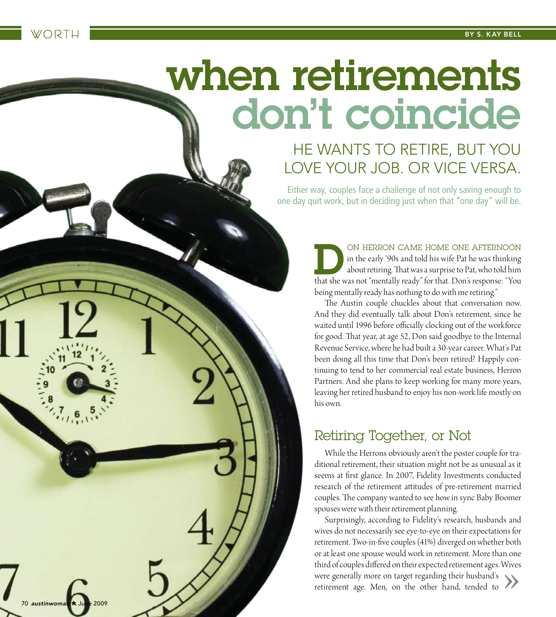# when retirements don't coincide

# He wants to retire, but you LOVE YOUR JOB. OR VICE VERSA.

Either way, couples face a challenge of not only saving enough to one day quit work, but in deciding just when that "one day" will be.

> ON HERRON CAME HOME ONE AFTERNOON<br>in the early '90s and told his wife Pat he was thinking<br>about retiring. That was a surprise to Pat, who told him<br>that she was not "mentally ready" for that. Don's response: "You in the early '90s and told his wife Pat he was thinking about retiring. That was a surprise to Pat, who told him that she was not "mentally ready" for that. Don's response: "You being mentally ready has nothing to do with me retiring."

> The Austin couple chuckles about that conversation now. And they did eventually talk about Don's retirement, since he waited until 1996 before officially clocking out of the workforce for good. That year, at age 52, Don said goodbye to the Internal Revenue Service, where he had built a 30-year career. What's Pat been doing all this time that Don's been retired? Happily continuing to tend to her commercial real estate business, Herron Partners. And she plans to keep working for many more years, leaving her retired husband to enjoy his non-work life mostly on his own.

## Retiring Together, or Not

While the Herrons obviously aren't the poster couple for traditional retirement, their situation might not be as unusual as it seems at first glance. In 2007, Fidelity Investments conducted research of the retirement attitudes of pre-retirement married couples. The company wanted to see how in sync Baby Boomer spouses were with their retirement planning.

Surprisingly, according to Fidelity's research, husbands and wives do not necessarily see eye-to-eye on their expectations for retirement. Two-in-five couples (41%) diverged on whether both or at least one spouse would work in retirement. More than one third of couples differed on their expected retirement ages. Wives<br>were generally more on target regarding their husband's<br>retirement age. Men, on the other hand, tended to were generally more on target regarding their husband's retirement age. Men, on the other hand, tended to